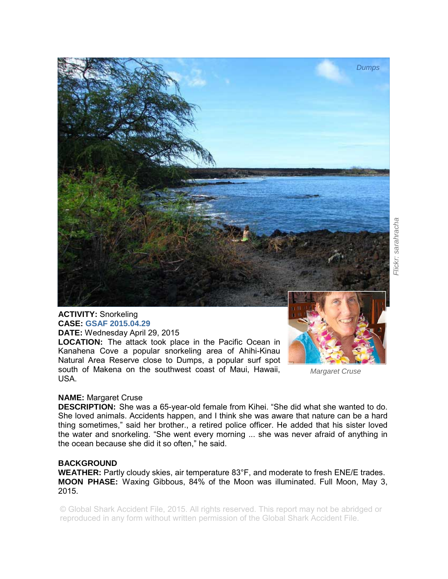

## **ACTIVITY:** Snorkeling **CASE: GSAF 2015.04.29 DATE:** Wednesday April 29, 2015

**LOCATION:** The attack took place in the Pacific Ocean in Kanahena Cove a popular snorkeling area of Ahihi-Kinau Natural Area Reserve close to Dumps, a popular surf spot south of Makena on the southwest coast of Maui, Hawaii, USA.



*Flickr: sarahracha* 

Flickr: sarahracha

*Margaret Cruse* 

## **NAME:** Margaret Cruse

**DESCRIPTION:** She was a 65-year-old female from Kihei. "She did what she wanted to do. She loved animals. Accidents happen, and I think she was aware that nature can be a hard thing sometimes," said her brother., a retired police officer. He added that his sister loved the water and snorkeling. "She went every morning ... she was never afraid of anything in the ocean because she did it so often," he said.

## **BACKGROUND**

**WEATHER:** Partly cloudy skies, air temperature 83°F, and moderate to fresh ENE/E trades. **MOON PHASE:** Waxing Gibbous, 84% of the Moon was illuminated. Full Moon, May 3, 2015.

© Global Shark Accident File, 2015. All rights reserved. This report may not be abridged or reproduced in any form without written permission of the Global Shark Accident File.